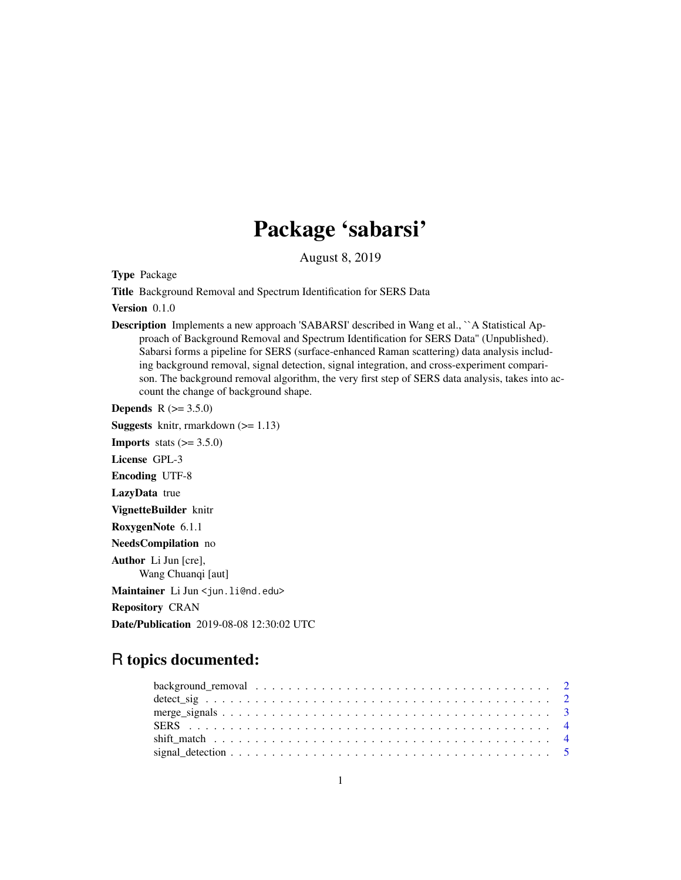## Package 'sabarsi'

August 8, 2019

Type Package

Title Background Removal and Spectrum Identification for SERS Data

Version 0.1.0

Description Implements a new approach 'SABARSI' described in Wang et al., ``A Statistical Approach of Background Removal and Spectrum Identification for SERS Data'' (Unpublished). Sabarsi forms a pipeline for SERS (surface-enhanced Raman scattering) data analysis including background removal, signal detection, signal integration, and cross-experiment comparison. The background removal algorithm, the very first step of SERS data analysis, takes into account the change of background shape.

**Depends** R  $(>= 3.5.0)$ 

**Suggests** knitr, rmarkdown  $(>= 1.13)$ **Imports** stats  $(>= 3.5.0)$ License GPL-3 Encoding UTF-8 LazyData true VignetteBuilder knitr RoxygenNote 6.1.1 NeedsCompilation no Author Li Jun [cre], Wang Chuanqi [aut] Maintainer Li Jun <jun.li@nd.edu> Repository CRAN Date/Publication 2019-08-08 12:30:02 UTC

### R topics documented: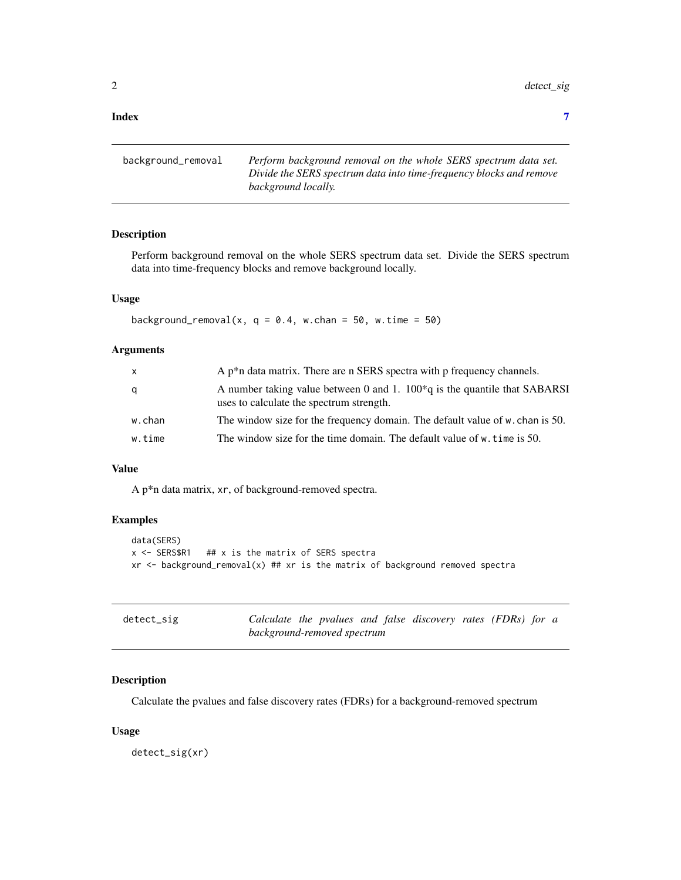#### <span id="page-1-0"></span>**Index** [7](#page-6-0) **7**

| background_removal | Perform background removal on the whole SERS spectrum data set.     |
|--------------------|---------------------------------------------------------------------|
|                    | Divide the SERS spectrum data into time-frequency blocks and remove |
|                    | background locally.                                                 |

#### Description

Perform background removal on the whole SERS spectrum data set. Divide the SERS spectrum data into time-frequency blocks and remove background locally.

#### Usage

background\_removal(x,  $q = 0.4$ , w.chan = 50, w.time = 50)

#### Arguments

| X      | A $p^*n$ data matrix. There are n SERS spectra with p frequency channels.                                                |
|--------|--------------------------------------------------------------------------------------------------------------------------|
| q      | A number taking value between 0 and 1. $100^*q$ is the quantile that SABARSI<br>uses to calculate the spectrum strength. |
| w.chan | The window size for the frequency domain. The default value of w. chan is 50.                                            |
| w.time | The window size for the time domain. The default value of w. time is 50.                                                 |

#### Value

A p\*n data matrix, xr, of background-removed spectra.

#### Examples

```
data(SERS)
x <- SERS$R1 ## x is the matrix of SERS spectra
xr \leq backward\_removal(x) \## xr \text{ is the matrix of background removed spectra}
```

| detect_sig |                             |  |  | Calculate the pvalues and false discovery rates (FDRs) for a |
|------------|-----------------------------|--|--|--------------------------------------------------------------|
|            | background-removed spectrum |  |  |                                                              |

#### Description

Calculate the pvalues and false discovery rates (FDRs) for a background-removed spectrum

#### Usage

detect\_sig(xr)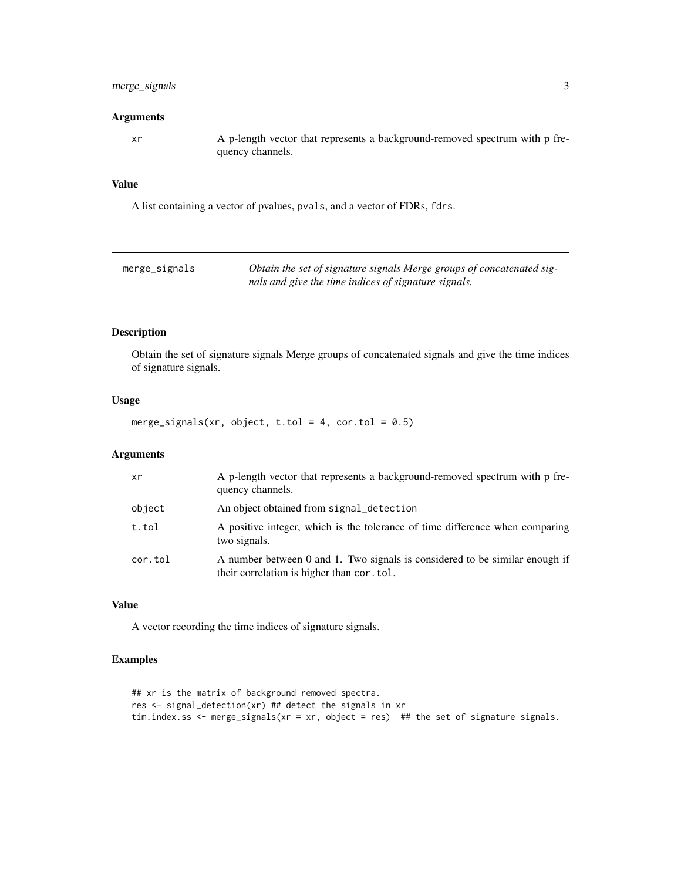#### <span id="page-2-0"></span>merge\_signals 3

#### Arguments

xr A p-length vector that represents a background-removed spectrum with p frequency channels.

#### Value

A list containing a vector of pvalues, pvals, and a vector of FDRs, fdrs.

| merge_signals | Obtain the set of signature signals Merge groups of concatenated sig- |
|---------------|-----------------------------------------------------------------------|
|               | nals and give the time indices of signature signals.                  |

#### Description

Obtain the set of signature signals Merge groups of concatenated signals and give the time indices of signature signals.

#### Usage

merge\_signals(xr, object, t.tol = 4, cor.tol =  $0.5$ )

#### Arguments

| xr      | A p-length vector that represents a background-removed spectrum with p fre-<br>quency channels.                           |
|---------|---------------------------------------------------------------------------------------------------------------------------|
| object  | An object obtained from signal_detection                                                                                  |
| t.tol   | A positive integer, which is the tolerance of time difference when comparing<br>two signals.                              |
| cor.tol | A number between 0 and 1. Two signals is considered to be similar enough if<br>their correlation is higher than cor. tol. |

#### Value

A vector recording the time indices of signature signals.

#### Examples

```
## xr is the matrix of background removed spectra.
res <- signal_detection(xr) ## detect the signals in xr
tim.index.ss <- merge_signals(xr = xr, object = res) ## the set of signature signals.
```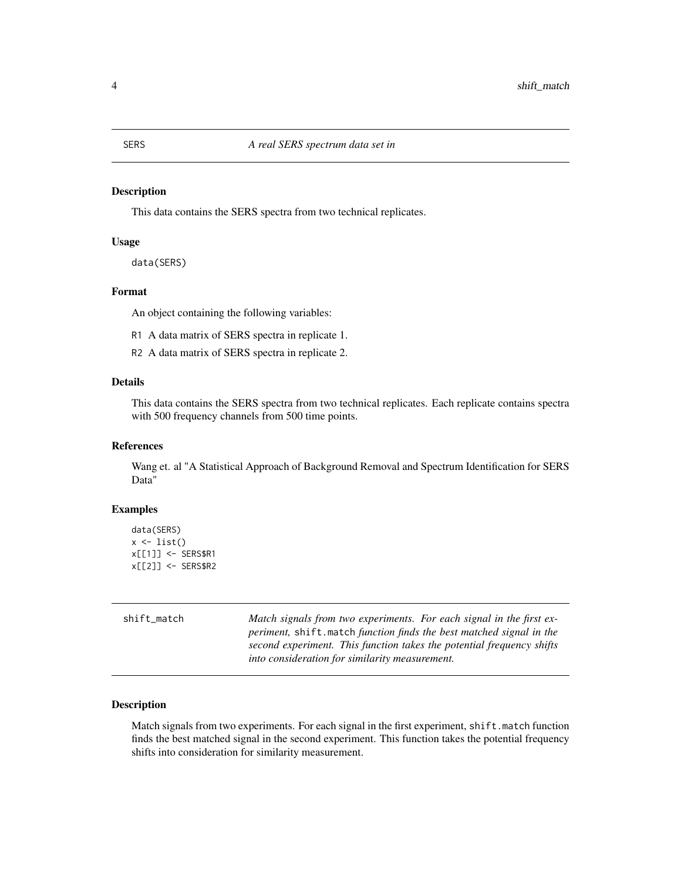#### <span id="page-3-0"></span>Description

This data contains the SERS spectra from two technical replicates.

#### Usage

```
data(SERS)
```
#### Format

An object containing the following variables:

- R1 A data matrix of SERS spectra in replicate 1.
- R2 A data matrix of SERS spectra in replicate 2.

#### Details

This data contains the SERS spectra from two technical replicates. Each replicate contains spectra with 500 frequency channels from 500 time points.

#### References

Wang et. al "A Statistical Approach of Background Removal and Spectrum Identification for SERS Data"

#### Examples

```
data(SERS)
x \leftarrow list()
x[[1]] <- SERS$R1
x[[2]] <- SERS$R2
```
shift\_match *Match signals from two experiments. For each signal in the first experiment,* shift.match *function finds the best matched signal in the second experiment. This function takes the potential frequency shifts into consideration for similarity measurement.*

#### Description

Match signals from two experiments. For each signal in the first experiment, shift.match function finds the best matched signal in the second experiment. This function takes the potential frequency shifts into consideration for similarity measurement.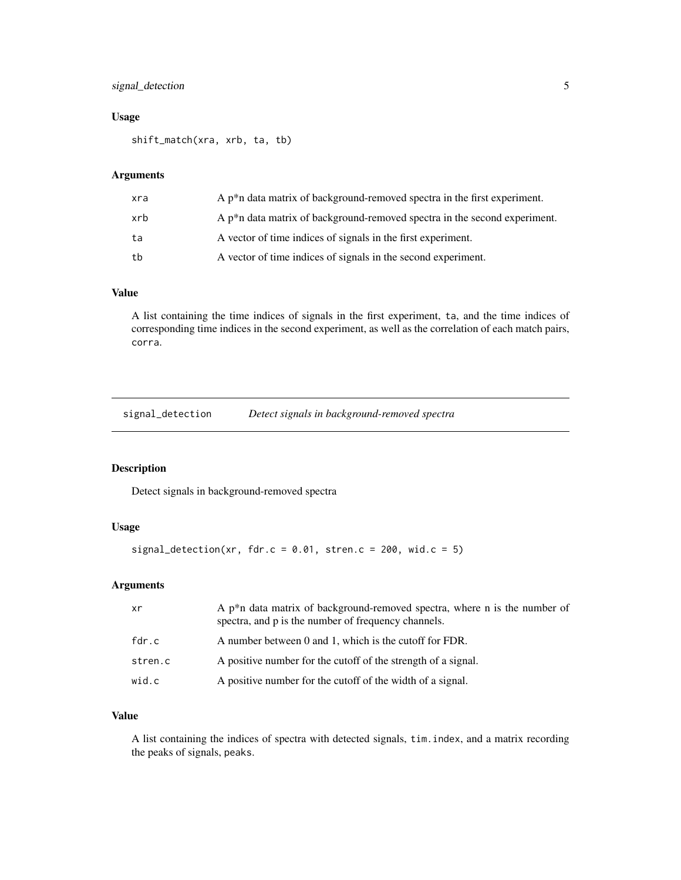#### <span id="page-4-0"></span>signal\_detection 5

#### Usage

shift\_match(xra, xrb, ta, tb)

#### Arguments

| xra | A $p^*$ n data matrix of background-removed spectra in the first experiment.  |
|-----|-------------------------------------------------------------------------------|
| xrb | A $p^*$ n data matrix of background-removed spectra in the second experiment. |
| ta  | A vector of time indices of signals in the first experiment.                  |
| tb  | A vector of time indices of signals in the second experiment.                 |

#### Value

A list containing the time indices of signals in the first experiment, ta, and the time indices of corresponding time indices in the second experiment, as well as the correlation of each match pairs, corra.

signal\_detection *Detect signals in background-removed spectra*

#### Description

Detect signals in background-removed spectra

#### Usage

signal\_detection(xr, fdr.c =  $0.01$ , stren.c =  $200$ , wid.c =  $5)$ 

#### Arguments

| xr      | A $p^*n$ data matrix of background-removed spectra, where n is the number of<br>spectra, and p is the number of frequency channels. |
|---------|-------------------------------------------------------------------------------------------------------------------------------------|
| fdr.c   | A number between 0 and 1, which is the cutoff for FDR.                                                                              |
| stren.c | A positive number for the cutoff of the strength of a signal.                                                                       |
| wid.c   | A positive number for the cutoff of the width of a signal.                                                                          |

#### Value

A list containing the indices of spectra with detected signals, tim.index, and a matrix recording the peaks of signals, peaks.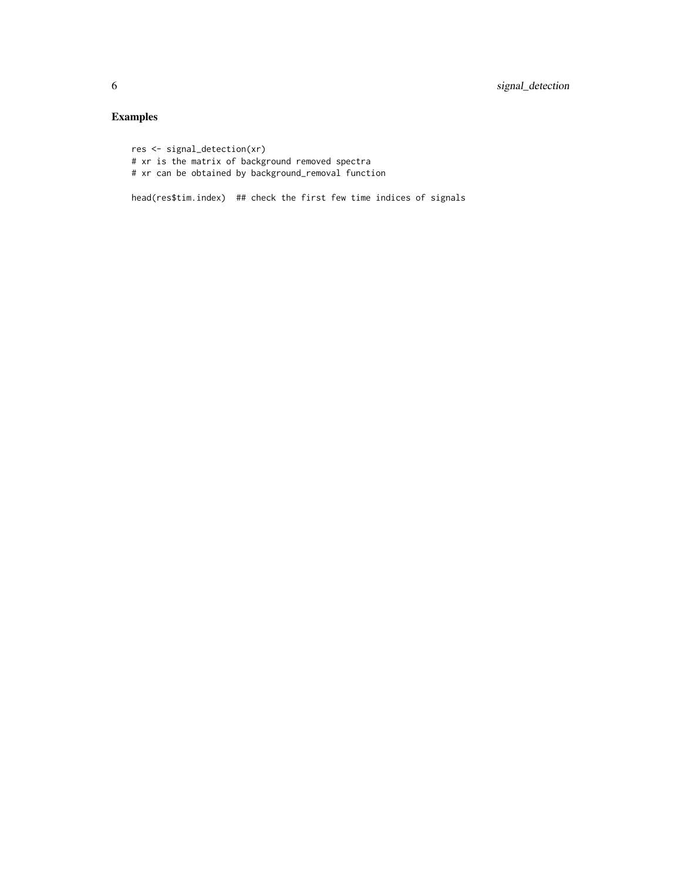#### Examples

```
res <- signal_detection(xr)
# xr is the matrix of background removed spectra
# xr can be obtained by background_removal function
```
head(res\$tim.index) ## check the first few time indices of signals